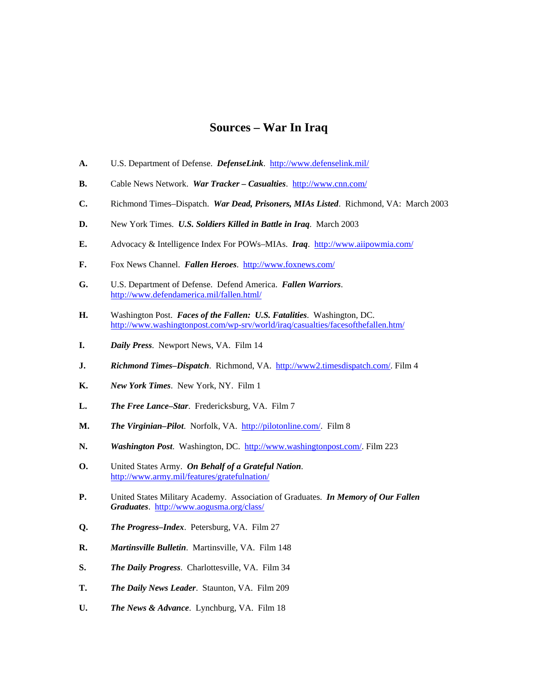## **Sources – War In Iraq**

- **A.** U.S. Department of Defense. *DefenseLink*. <http://www.defenselink.mil/>
- **B.** Cable News Network. *War Tracker Casualties*. <http://www.cnn.com/>
- **C.** Richmond Times–Dispatch. *War Dead, Prisoners, MIAs Listed*. Richmond, VA: March 2003
- **D.** New York Times. *U.S. Soldiers Killed in Battle in Iraq*. March 2003
- **E.** Advocacy & Intelligence Index For POWs–MIAs. *Iraq*. <http://www.aiipowmia.com/>
- **F.** Fox News Channel. *Fallen Heroes*. <http://www.foxnews.com/>
- **G.** U.S. Department of Defense. Defend America. *Fallen Warriors*. <http://www.defendamerica.mil/fallen.html/>
- **H.** Washington Post. *Faces of the Fallen: U.S. Fatalities*. Washington, DC. <http://www.washingtonpost.com/wp-srv/world/iraq/casualties/facesofthefallen.htm/>
- **I.** *Daily Press*. Newport News, VA. Film 14
- **J.** *Richmond Times–Dispatch*. Richmond, VA. [http://www2.timesdispatch.com/.](http://www2.timesdispatch.com/) Film 4
- **K.** *New York Times*. New York, NY. Film 1
- **L.** *The Free Lance–Star*. Fredericksburg, VA. Film 7
- **M.** *The Virginian–Pilot*. Norfolk, VA. [http://pilotonline.com/.](http://pilotonline.com/) Film 8
- **N.** *Washington Post*. Washington, DC. [http://www.washingtonpost.com/.](http://www.washingtonpost.com/) Film 223
- **O.** United States Army. *On Behalf of a Grateful Nation*. <http://www.army.mil/features/gratefulnation/>
- **P.** United States Military Academy. Association of Graduates. *In Memory of Our Fallen Graduates*. <http://www.aogusma.org/class/>
- **Q.** *The Progress–Index*. Petersburg, VA. Film 27
- **R.** *Martinsville Bulletin*. Martinsville, VA. Film 148
- **S.** *The Daily Progress*. Charlottesville, VA. Film 34
- **T.** *The Daily News Leader*. Staunton, VA. Film 209
- **U.** *The News & Advance*. Lynchburg, VA. Film 18